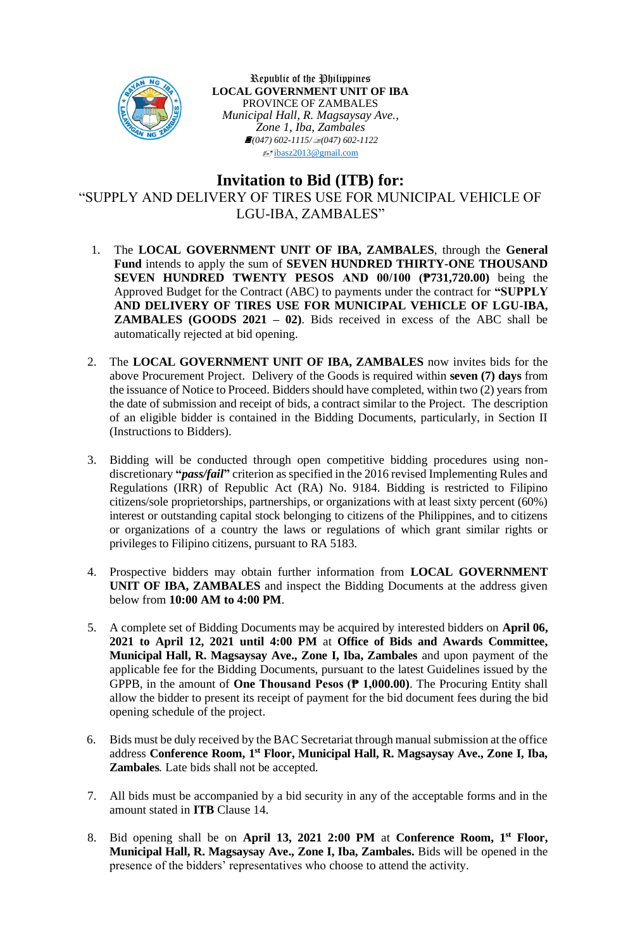

Republic of the Philippines **LOCAL GOVERNMENT UNIT OF IBA** PROVINCE OF ZAMBALES *Municipal Hall, R. Magsaysay Ave., Zone 1, Iba, Zambales (047) 602-1115/(047) 602-1122*  $\sqrt{\frac{1}{2}}$ [ibasz2013@gmail.com](mailto:ibasz2013@gmail.com)

## **Invitation to Bid (ITB) for:**

"SUPPLY AND DELIVERY OF TIRES USE FOR MUNICIPAL VEHICLE OF LGU-IBA, ZAMBALES"

- 1. The **LOCAL GOVERNMENT UNIT OF IBA, ZAMBALES**, through the **General Fund** intends to apply the sum of **SEVEN HUNDRED THIRTY-ONE THOUSAND SEVEN HUNDRED TWENTY PESOS AND 00/100 (₱731,720.00)** being the Approved Budget for the Contract (ABC) to payments under the contract for **"SUPPLY AND DELIVERY OF TIRES USE FOR MUNICIPAL VEHICLE OF LGU-IBA, ZAMBALES (GOODS 2021 – 02)**. Bids received in excess of the ABC shall be automatically rejected at bid opening.
- 2. The **LOCAL GOVERNMENT UNIT OF IBA, ZAMBALES** now invites bids for the above Procurement Project. Delivery of the Goods is required within **seven (7) days** from the issuance of Notice to Proceed. Bidders should have completed, within two (2) years from the date of submission and receipt of bids, a contract similar to the Project. The description of an eligible bidder is contained in the Bidding Documents, particularly, in Section II (Instructions to Bidders).
- 3. Bidding will be conducted through open competitive bidding procedures using nondiscretionary **"***pass/fail***"** criterion as specified in the 2016 revised Implementing Rules and Regulations (IRR) of Republic Act (RA) No. 9184. Bidding is restricted to Filipino citizens/sole proprietorships, partnerships, or organizations with at least sixty percent (60%) interest or outstanding capital stock belonging to citizens of the Philippines, and to citizens or organizations of a country the laws or regulations of which grant similar rights or privileges to Filipino citizens, pursuant to RA 5183.
- 4. Prospective bidders may obtain further information from **LOCAL GOVERNMENT UNIT OF IBA, ZAMBALES** and inspect the Bidding Documents at the address given below from **10:00 AM to 4:00 PM**.
- 5. A complete set of Bidding Documents may be acquired by interested bidders on **April 06, 2021 to April 12, 2021 until 4:00 PM** at **Office of Bids and Awards Committee, Municipal Hall, R. Magsaysay Ave., Zone I, Iba, Zambales** and upon payment of the applicable fee for the Bidding Documents, pursuant to the latest Guidelines issued by the GPPB, in the amount of **One Thousand Pesos (₱ 1,000.00)**. The Procuring Entity shall allow the bidder to present its receipt of payment for the bid document fees during the bid opening schedule of the project.
- 6. Bids must be duly received by the BAC Secretariat through manual submission at the office address **Conference Room, 1 st Floor, Municipal Hall, R. Magsaysay Ave., Zone I, Iba, Zambales***.* Late bids shall not be accepted.
- 7. All bids must be accompanied by a bid security in any of the acceptable forms and in the amount stated in **ITB** Clause 14.
- 8. Bid opening shall be on **April 13, 2021 2:00 PM** at **Conference Room, 1 st Floor, Municipal Hall, R. Magsaysay Ave., Zone I, Iba, Zambales.** Bids will be opened in the presence of the bidders' representatives who choose to attend the activity.